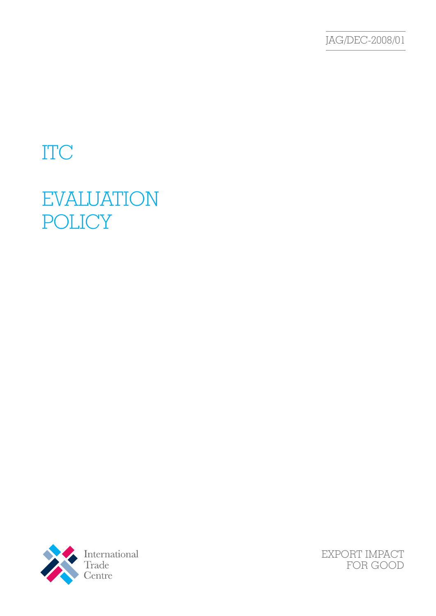JAG/DEC-2008/01

# ITC

# EVALUATION POLICY



EXPORT IMPACT FOR GOOD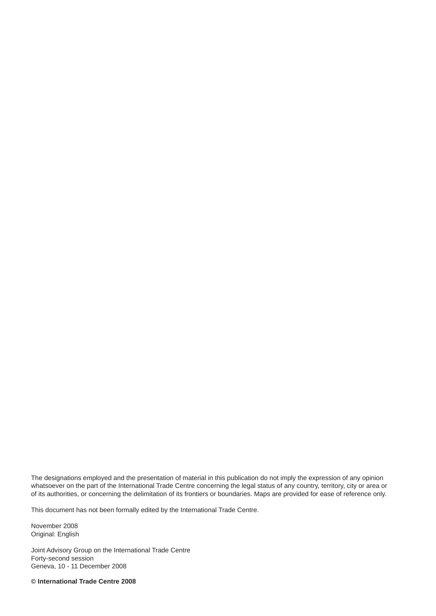The designations employed and the presentation of material in this publication do not imply the expression of any opinion whatsoever on the part of the International Trade Centre concerning the legal status of any country, territory, city or area or of its authorities, or concerning the delimitation of its frontiers or boundaries. Maps are provided for ease of reference only.

This document has not been formally edited by the International Trade Centre.

November 2008 Original: English

Joint Advisory Group on the International Trade Centre Forty-second session Geneva, 10 - 11 December 2008

**© International Trade Centre 2008**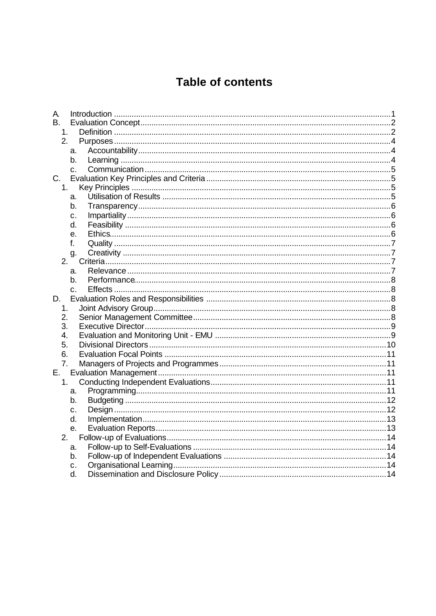# **Table of contents**

| А.             |                |  |
|----------------|----------------|--|
| <b>B.</b>      |                |  |
| 1.             |                |  |
| 2.             |                |  |
|                | a.             |  |
|                | b.             |  |
|                | $C_{\rm{L}}$   |  |
| $C_{1}$        |                |  |
| 1 <sub>1</sub> |                |  |
|                | a.             |  |
|                | b.             |  |
|                | $\mathbf{C}$ . |  |
|                | d.             |  |
|                | е.             |  |
|                | f.             |  |
|                | g.             |  |
| 2.             |                |  |
|                | a.             |  |
|                | b.             |  |
|                | $C_{-}$        |  |
| D.             |                |  |
| 1.             |                |  |
| 2.             |                |  |
| 3.             |                |  |
| 4.             |                |  |
| 5.             |                |  |
| 6.             |                |  |
| 7.             |                |  |
| Е.             |                |  |
| 1.             |                |  |
|                | a.             |  |
|                | b.             |  |
|                | C.             |  |
|                | d.             |  |
|                | е.             |  |
| 2.             |                |  |
|                | a.             |  |
|                | b.             |  |
|                | c.             |  |
|                | d.             |  |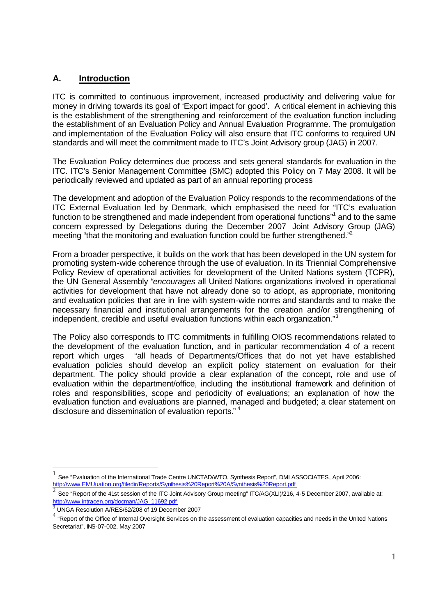# **A. Introduction**

ITC is committed to continuous improvement, increased productivity and delivering value for money in driving towards its goal of 'Export impact for good'. A critical element in achieving this is the establishment of the strengthening and reinforcement of the evaluation function including the establishment of an Evaluation Policy and Annual Evaluation Programme. The promulgation and implementation of the Evaluation Policy will also ensure that ITC conforms to required UN standards and will meet the commitment made to ITC's Joint Advisory group (JAG) in 2007.

The Evaluation Policy determines due process and sets general standards for evaluation in the ITC. ITC's Senior Management Committee (SMC) adopted this Policy on 7 May 2008. It will be periodically reviewed and updated as part of an annual reporting process

The development and adoption of the Evaluation Policy responds to the recommendations of the ITC External Evaluation led by Denmark, which emphasised the need for "ITC's evaluation function to be strengthened and made independent from operational functions"<sup>1</sup> and to the same concern expressed by Delegations during the December 2007 Joint Advisory Group (JAG) meeting "that the monitoring and evaluation function could be further strengthened."<sup>2</sup>

From a broader perspective, it builds on the work that has been developed in the UN system for promoting system-wide coherence through the use of evaluation. In its Triennial Comprehensive Policy Review of operational activities for development of the United Nations system (TCPR), the UN General Assembly "*encourages* all United Nations organizations involved in operational activities for development that have not already done so to adopt, as appropriate, monitoring and evaluation policies that are in line with system-wide norms and standards and to make the necessary financial and institutional arrangements for the creation and/or strengthening of independent, credible and useful evaluation functions within each organization."<sup>3</sup>

The Policy also corresponds to ITC commitments in fulfilling OIOS recommendations related to the development of the evaluation function, and in particular recommendation 4 of a recent report which urges "all heads of Departments/Offices that do not yet have established evaluation policies should develop an explicit policy statement on evaluation for their department. The policy should provide a clear explanation of the concept, role and use of evaluation within the department/office, including the institutional framework and definition of roles and responsibilities, scope and periodicity of evaluations; an explanation of how the evaluation function and evaluations are planned, managed and budgeted; a clear statement on disclosure and dissemination of evaluation reports."<sup>4</sup>

l

<sup>1</sup> See "Evaluation of the International Trade Centre UNCTAD/WTO, Synthesis Report", DMI ASSOCIATES, April 2006: http://www.EMUuation.org/filedir/Reports/Synthesis%20Report%20A/Synthesis%20Report.pdf

<sup>2</sup> See "Report of the 41st session of the ITC Joint Advisory Group meeting" ITC/AG(XLI)/216, 4-5 December 2007, available at: http://www.intracen.org/docman/JAG\_11692.pdf

<sup>3</sup> UNGA Resolution A/RES/62/208 of 19 December 2007

 $^4$  "Report of the Office of Internal Oversight Services on the assessment of evaluation capacities and needs in the United Nations Secretariat", INS-07-002, May 2007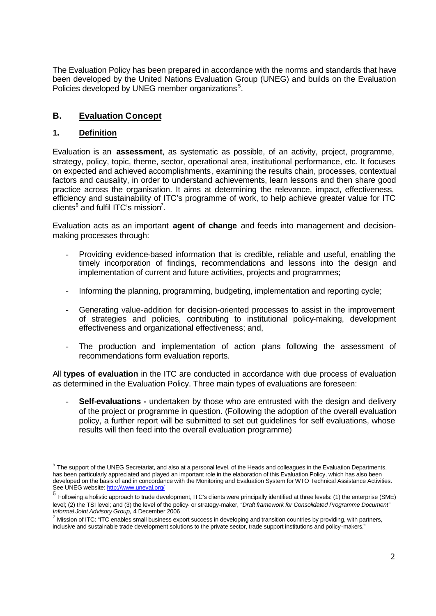The Evaluation Policy has been prepared in accordance with the norms and standards that have been developed by the United Nations Evaluation Group (UNEG) and builds on the Evaluation Policies developed by UNEG member organizations<sup>5</sup>.

# **B. Evaluation Concept**

# **1. Definition**

l

Evaluation is an **assessment**, as systematic as possible, of an activity, project, programme, strategy, policy, topic, theme, sector, operational area, institutional performance, etc. It focuses on expected and achieved accomplishments, examining the results chain, processes, contextual factors and causality, in order to understand achievements, learn lessons and then share good practice across the organisation. It aims at determining the relevance, impact, effectiveness, efficiency and sustainability of ITC's programme of work, to help achieve greater value for ITC clients $^6$  and fulfil ITC's mission<sup>7</sup>.

Evaluation acts as an important **agent of change** and feeds into management and decisionmaking processes through:

- Providing evidence-based information that is credible, reliable and useful, enabling the timely incorporation of findings, recommendations and lessons into the design and implementation of current and future activities, projects and programmes;
- Informing the planning, programming, budgeting, implementation and reporting cycle;
- Generating value-addition for decision-oriented processes to assist in the improvement of strategies and policies, contributing to institutional policy-making, development effectiveness and organizational effectiveness; and,
- The production and implementation of action plans following the assessment of recommendations form evaluation reports.

All **types of evaluation** in the ITC are conducted in accordance with due process of evaluation as determined in the Evaluation Policy. Three main types of evaluations are foreseen:

**Self-evaluations -** undertaken by those who are entrusted with the design and delivery of the project or programme in question. (Following the adoption of the overall evaluation policy, a further report will be submitted to set out guidelines for self evaluations, whose results will then feed into the overall evaluation programme)

 $^5$  The support of the UNEG Secretariat, and also at a personal level, of the Heads and colleagues in the Evaluation Departments, has been particularly appreciated and played an important role in the elaboration of this Evaluation Policy, which has also been developed on the basis of and in concordance with the Monitoring and Evaluation System for WTO Technical Assistance Activities. See UNEG website: http://www.uneval.org/

<sup>&</sup>lt;sup>6</sup> Following a holistic approach to trade development, ITC's clients were principally identified at three levels: (1) the enterprise (SME) level; (2) the TSI level; and (3) the level of the policy- or strategy-maker, *"Draft framework for Consolidated Programme Document" Informal Joint Advisory Group,* 4 December 2006

 $^7$  Mission of ITC: "ITC enables small business export success in developing and transition countries by providing, with partners, inclusive and sustainable trade development solutions to the private sector, trade support institutions and policy-makers."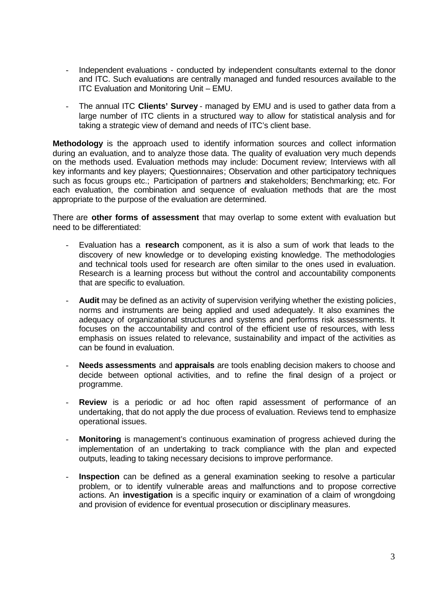- Independent evaluations conducted by independent consultants external to the donor and ITC. Such evaluations are centrally managed and funded resources available to the ITC Evaluation and Monitoring Unit – EMU.
- The annual ITC **Clients' Survey** managed by EMU and is used to gather data from a large number of ITC clients in a structured way to allow for statistical analysis and for taking a strategic view of demand and needs of ITC's client base.

**Methodology** is the approach used to identify information sources and collect information during an evaluation, and to analyze those data. The quality of evaluation very much depends on the methods used. Evaluation methods may include: Document review; Interviews with all key informants and key players; Questionnaires; Observation and other participatory techniques such as focus groups etc.; Participation of partners and stakeholders; Benchmarking; etc. For each evaluation, the combination and sequence of evaluation methods that are the most appropriate to the purpose of the evaluation are determined.

There are **other forms of assessment** that may overlap to some extent with evaluation but need to be differentiated:

- Evaluation has a **research** component, as it is also a sum of work that leads to the discovery of new knowledge or to developing existing knowledge. The methodologies and technical tools used for research are often similar to the ones used in evaluation. Research is a learning process but without the control and accountability components that are specific to evaluation.
- **Audit** may be defined as an activity of supervision verifying whether the existing policies, norms and instruments are being applied and used adequately. It also examines the adequacy of organizational structures and systems and performs risk assessments. It focuses on the accountability and control of the efficient use of resources, with less emphasis on issues related to relevance, sustainability and impact of the activities as can be found in evaluation.
- **Needs assessments** and **appraisals** are tools enabling decision makers to choose and decide between optional activities, and to refine the final design of a project or programme.
- **Review** is a periodic or ad hoc often rapid assessment of performance of an undertaking, that do not apply the due process of evaluation. Reviews tend to emphasize operational issues.
- **Monitoring** is management's continuous examination of progress achieved during the implementation of an undertaking to track compliance with the plan and expected outputs, leading to taking necessary decisions to improve performance.
- Inspection can be defined as a general examination seeking to resolve a particular problem, or to identify vulnerable areas and malfunctions and to propose corrective actions. An **investigation** is a specific inquiry or examination of a claim of wrongdoing and provision of evidence for eventual prosecution or disciplinary measures.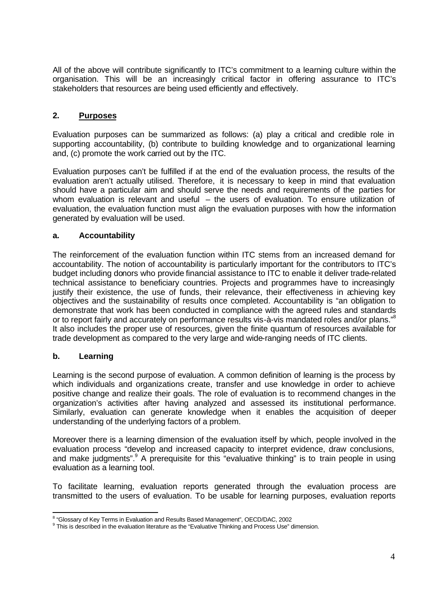All of the above will contribute significantly to ITC's commitment to a learning culture within the organisation. This will be an increasingly critical factor in offering assurance to ITC's stakeholders that resources are being used efficiently and effectively.

# **2. Purposes**

Evaluation purposes can be summarized as follows: (a) play a critical and credible role in supporting accountability, (b) contribute to building knowledge and to organizational learning and, (c) promote the work carried out by the ITC.

Evaluation purposes can't be fulfilled if at the end of the evaluation process, the results of the evaluation aren't actually utilised. Therefore, it is necessary to keep in mind that evaluation should have a particular aim and should serve the needs and requirements of the parties for whom evaluation is relevant and useful – the users of evaluation. To ensure utilization of evaluation, the evaluation function must align the evaluation purposes with how the information generated by evaluation will be used.

#### **a. Accountability**

The reinforcement of the evaluation function within ITC stems from an increased demand for accountability. The notion of accountability is particularly important for the contributors to ITC's budget including donors who provide financial assistance to ITC to enable it deliver trade-related technical assistance to beneficiary countries. Projects and programmes have to increasingly justify their existence, the use of funds, their relevance, their effectiveness in achieving key objectives and the sustainability of results once completed. Accountability is "an obligation to demonstrate that work has been conducted in compliance with the agreed rules and standards or to report fairly and accurately on performance results vis-à-vis mandated roles and/or plans."<sup>8</sup> It also includes the proper use of resources, given the finite quantum of resources available for trade development as compared to the very large and wide-ranging needs of ITC clients.

#### **b. Learning**

Learning is the second purpose of evaluation. A common definition of learning is the process by which individuals and organizations create, transfer and use knowledge in order to achieve positive change and realize their goals. The role of evaluation is to recommend changes in the organization's activities after having analyzed and assessed its institutional performance. Similarly, evaluation can generate knowledge when it enables the acquisition of deeper understanding of the underlying factors of a problem.

Moreover there is a learning dimension of the evaluation itself by which, people involved in the evaluation process "develop and increased capacity to interpret evidence, draw conclusions, and make judgments". A prerequisite for this "evaluative thinking" is to train people in using evaluation as a learning tool.

To facilitate learning, evaluation reports generated through the evaluation process are transmitted to the users of evaluation. To be usable for learning purposes, evaluation reports

<sup>&</sup>lt;sup>8</sup> "Glossary of Key Terms in Evaluation and Results Based Management", OECD/DAC, 2002

<sup>&</sup>lt;sup>9</sup> This is described in the evaluation literature as the "Evaluative Thinking and Process Use" dimension.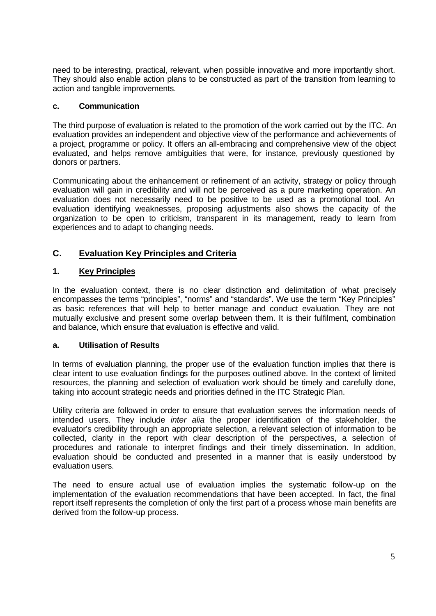need to be interesting, practical, relevant, when possible innovative and more importantly short. They should also enable action plans to be constructed as part of the transition from learning to action and tangible improvements.

#### **c. Communication**

The third purpose of evaluation is related to the promotion of the work carried out by the ITC. An evaluation provides an independent and objective view of the performance and achievements of a project, programme or policy. It offers an all-embracing and comprehensive view of the object evaluated, and helps remove ambiguities that were, for instance, previously questioned by donors or partners.

Communicating about the enhancement or refinement of an activity, strategy or policy through evaluation will gain in credibility and will not be perceived as a pure marketing operation. An evaluation does not necessarily need to be positive to be used as a promotional tool. An evaluation identifying weaknesses, proposing adjustments also shows the capacity of the organization to be open to criticism, transparent in its management, ready to learn from experiences and to adapt to changing needs.

# **C. Evaluation Key Principles and Criteria**

# **1. Key Principles**

In the evaluation context, there is no clear distinction and delimitation of what precisely encompasses the terms "principles", "norms" and "standards". We use the term "Key Principles" as basic references that will help to better manage and conduct evaluation. They are not mutually exclusive and present some overlap between them. It is their fulfilment, combination and balance, which ensure that evaluation is effective and valid.

#### **a. Utilisation of Results**

In terms of evaluation planning, the proper use of the evaluation function implies that there is clear intent to use evaluation findings for the purposes outlined above. In the context of limited resources, the planning and selection of evaluation work should be timely and carefully done, taking into account strategic needs and priorities defined in the ITC Strategic Plan.

Utility criteria are followed in order to ensure that evaluation serves the information needs of intended users. They include *inter alia* the proper identification of the stakeholder, the evaluator's credibility through an appropriate selection, a relevant selection of information to be collected, clarity in the report with clear description of the perspectives, a selection of procedures and rationale to interpret findings and their timely dissemination. In addition, evaluation should be conducted and presented in a manner that is easily understood by evaluation users.

The need to ensure actual use of evaluation implies the systematic follow-up on the implementation of the evaluation recommendations that have been accepted. In fact, the final report itself represents the completion of only the first part of a process whose main benefits are derived from the follow-up process.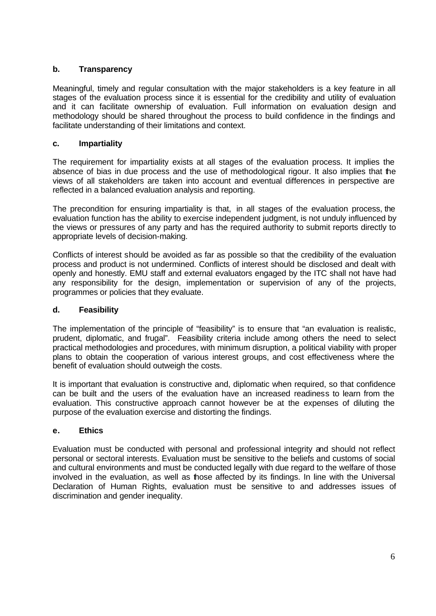# **b. Transparency**

Meaningful, timely and regular consultation with the major stakeholders is a key feature in all stages of the evaluation process since it is essential for the credibility and utility of evaluation and it can facilitate ownership of evaluation. Full information on evaluation design and methodology should be shared throughout the process to build confidence in the findings and facilitate understanding of their limitations and context.

#### **c. Impartiality**

The requirement for impartiality exists at all stages of the evaluation process. It implies the absence of bias in due process and the use of methodological rigour. It also implies that the views of all stakeholders are taken into account and eventual differences in perspective are reflected in a balanced evaluation analysis and reporting.

The precondition for ensuring impartiality is that, in all stages of the evaluation process, the evaluation function has the ability to exercise independent judgment, is not unduly influenced by the views or pressures of any party and has the required authority to submit reports directly to appropriate levels of decision-making.

Conflicts of interest should be avoided as far as possible so that the credibility of the evaluation process and product is not undermined. Conflicts of interest should be disclosed and dealt with openly and honestly. EMU staff and external evaluators engaged by the ITC shall not have had any responsibility for the design, implementation or supervision of any of the projects, programmes or policies that they evaluate.

#### **d. Feasibility**

The implementation of the principle of "feasibility" is to ensure that "an evaluation is realistic, prudent, diplomatic, and frugal". Feasibility criteria include among others the need to select practical methodologies and procedures, with minimum disruption, a political viability with proper plans to obtain the cooperation of various interest groups, and cost effectiveness where the benefit of evaluation should outweigh the costs.

It is important that evaluation is constructive and, diplomatic when required, so that confidence can be built and the users of the evaluation have an increased readiness to learn from the evaluation. This constructive approach cannot however be at the expenses of diluting the purpose of the evaluation exercise and distorting the findings.

#### **e. Ethics**

Evaluation must be conducted with personal and professional integrity and should not reflect personal or sectoral interests. Evaluation must be sensitive to the beliefs and customs of social and cultural environments and must be conducted legally with due regard to the welfare of those involved in the evaluation, as well as those affected by its findings. In line with the Universal Declaration of Human Rights, evaluation must be sensitive to and addresses issues of discrimination and gender inequality.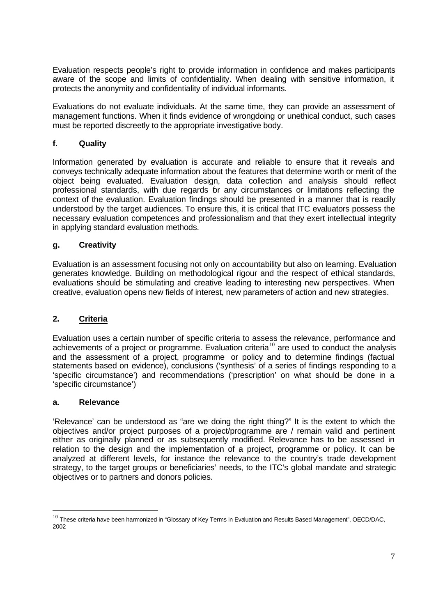Evaluation respects people's right to provide information in confidence and makes participants aware of the scope and limits of confidentiality. When dealing with sensitive information, it protects the anonymity and confidentiality of individual informants.

Evaluations do not evaluate individuals. At the same time, they can provide an assessment of management functions. When it finds evidence of wrongdoing or unethical conduct, such cases must be reported discreetly to the appropriate investigative body.

# **f. Quality**

Information generated by evaluation is accurate and reliable to ensure that it reveals and conveys technically adequate information about the features that determine worth or merit of the object being evaluated. Evaluation design, data collection and analysis should reflect professional standards, with due regards for any circumstances or limitations reflecting the context of the evaluation. Evaluation findings should be presented in a manner that is readily understood by the target audiences. To ensure this, it is critical that ITC evaluators possess the necessary evaluation competences and professionalism and that they exert intellectual integrity in applying standard evaluation methods.

#### **g. Creativity**

Evaluation is an assessment focusing not only on accountability but also on learning. Evaluation generates knowledge. Building on methodological rigour and the respect of ethical standards, evaluations should be stimulating and creative leading to interesting new perspectives. When creative, evaluation opens new fields of interest, new parameters of action and new strategies.

# **2. Criteria**

Evaluation uses a certain number of specific criteria to assess the relevance, performance and achievements of a project or programme. Evaluation criteria<sup>10</sup> are used to conduct the analysis and the assessment of a project, programme or policy and to determine findings (factual statements based on evidence), conclusions ('synthesis' of a series of findings responding to a 'specific circumstance') and recommendations ('prescription' on what should be done in a 'specific circumstance')

#### **a. Relevance**

l

'Relevance' can be understood as "are we doing the right thing?" It is the extent to which the objectives and/or project purposes of a project/programme are / remain valid and pertinent either as originally planned or as subsequently modified. Relevance has to be assessed in relation to the design and the implementation of a project, programme or policy. It can be analyzed at different levels, for instance the relevance to the country's trade development strategy, to the target groups or beneficiaries' needs, to the ITC's global mandate and strategic objectives or to partners and donors policies.

 $^{10}$  These criteria have been harmonized in "Glossary of Key Terms in Evaluation and Results Based Management", OECD/DAC, 2002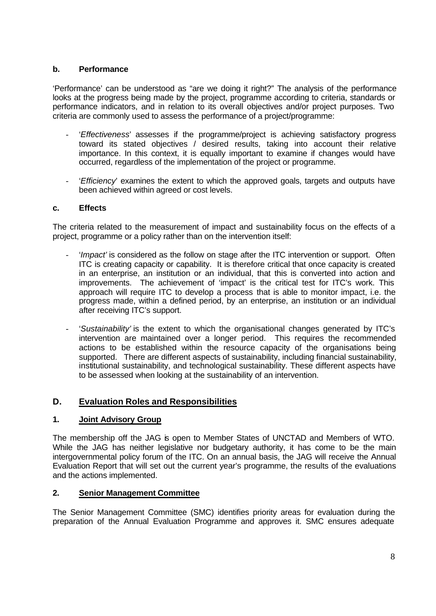#### **b. Performance**

'Performance' can be understood as "are we doing it right?" The analysis of the performance looks at the progress being made by the project, programme according to criteria, standards or performance indicators, and in relation to its overall objectives and/or project purposes. Two criteria are commonly used to assess the performance of a project/programme:

- '*Effectiveness*' assesses if the programme/project is achieving satisfactory progress toward its stated objectives / desired results, taking into account their relative importance. In this context, it is equally important to examine if changes would have occurred, regardless of the implementation of the project or programme.
- '*Efficiency*' examines the extent to which the approved goals, targets and outputs have been achieved within agreed or cost levels.

#### **c. Effects**

The criteria related to the measurement of impact and sustainability focus on the effects of a project, programme or a policy rather than on the intervention itself:

- '*Impact'* is considered as the follow on stage after the ITC intervention or support. Often ITC is creating capacity or capability. It is therefore critical that once capacity is created in an enterprise, an institution or an individual, that this is converted into action and improvements. The achievement of 'impact' is the critical test for ITC's work. This approach will require ITC to develop a process that is able to monitor impact, i.e. the progress made, within a defined period, by an enterprise, an institution or an individual after receiving ITC's support.
- '*Sustainability'* is the extent to which the organisational changes generated by ITC's intervention are maintained over a longer period. This requires the recommended actions to be established within the resource capacity of the organisations being supported. There are different aspects of sustainability, including financial sustainability, institutional sustainability, and technological sustainability. These different aspects have to be assessed when looking at the sustainability of an intervention.

# **D. Evaluation Roles and Responsibilities**

# **1. Joint Advisory Group**

The membership off the JAG is open to Member States of UNCTAD and Members of WTO. While the JAG has neither legislative nor budgetary authority, it has come to be the main intergovernmental policy forum of the ITC. On an annual basis, the JAG will receive the Annual Evaluation Report that will set out the current year's programme, the results of the evaluations and the actions implemented.

#### **2. Senior Management Committee**

The Senior Management Committee (SMC) identifies priority areas for evaluation during the preparation of the Annual Evaluation Programme and approves it. SMC ensures adequate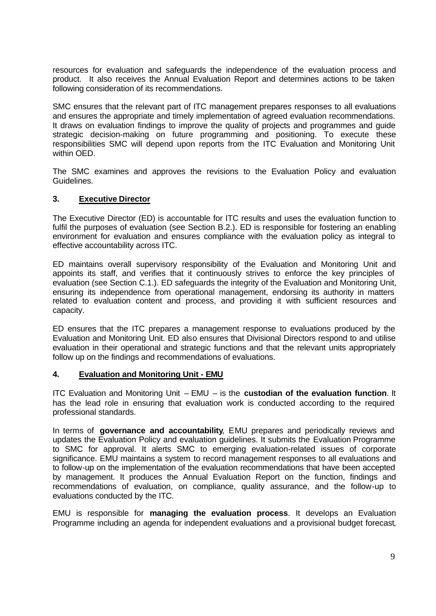resources for evaluation and safeguards the independence of the evaluation process and product. It also receives the Annual Evaluation Report and determines actions to be taken following consideration of its recommendations.

SMC ensures that the relevant part of ITC management prepares responses to all evaluations and ensures the appropriate and timely implementation of agreed evaluation recommendations. It draws on evaluation findings to improve the quality of projects and programmes and guide strategic decision-making on future programming and positioning. To execute these responsibilities SMC will depend upon reports from the ITC Evaluation and Monitoring Unit within OED.

The SMC examines and approves the revisions to the Evaluation Policy and evaluation Guidelines.

#### **3. Executive Director**

The Executive Director (ED) is accountable for ITC results and uses the evaluation function to fulfil the purposes of evaluation (see Section B.2.). ED is responsible for fostering an enabling environment for evaluation and ensures compliance with the evaluation policy as integral to effective accountability across ITC.

ED maintains overall supervisory responsibility of the Evaluation and Monitoring Unit and appoints its staff, and verifies that it continuously strives to enforce the key principles of evaluation (see Section C.1.). ED safeguards the integrity of the Evaluation and Monitoring Unit, ensuring its independence from operational management, endorsing its authority in matters related to evaluation content and process, and providing it with sufficient resources and capacity.

ED ensures that the ITC prepares a management response to evaluations produced by the Evaluation and Monitoring Unit. ED also ensures that Divisional Directors respond to and utilise evaluation in their operational and strategic functions and that the relevant units appropriately follow up on the findings and recommendations of evaluations.

#### **4. Evaluation and Monitoring Unit - EMU**

ITC Evaluation and Monitoring Unit – EMU – is the **custodian of the evaluation function**. It has the lead role in ensuring that evaluation work is conducted according to the required professional standards.

In terms of **governance and accountability**, EMU prepares and periodically reviews and updates the Evaluation Policy and evaluation guidelines. It submits the Evaluation Programme to SMC for approval. It alerts SMC to emerging evaluation-related issues of corporate significance. EMU maintains a system to record management responses to all evaluations and to follow-up on the implementation of the evaluation recommendations that have been accepted by management. It produces the Annual Evaluation Report on the function, findings and recommendations of evaluation, on compliance, quality assurance, and the follow-up to evaluations conducted by the ITC.

EMU is responsible for **managing the evaluation process**. It develops an Evaluation Programme including an agenda for independent evaluations and a provisional budget forecast,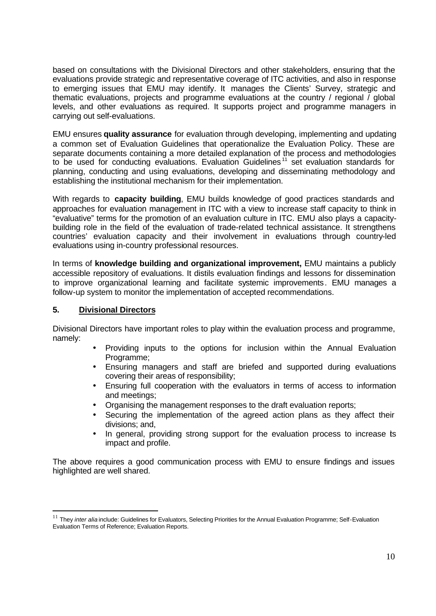based on consultations with the Divisional Directors and other stakeholders, ensuring that the evaluations provide strategic and representative coverage of ITC activities, and also in response to emerging issues that EMU may identify. It manages the Clients' Survey, strategic and thematic evaluations, projects and programme evaluations at the country / regional / global levels, and other evaluations as required. It supports project and programme managers in carrying out self-evaluations.

EMU ensures **quality assurance** for evaluation through developing, implementing and updating a common set of Evaluation Guidelines that operationalize the Evaluation Policy. These are separate documents containing a more detailed explanation of the process and methodologies to be used for conducting evaluations. Evaluation Guidelines<sup>11</sup> set evaluation standards for planning, conducting and using evaluations, developing and disseminating methodology and establishing the institutional mechanism for their implementation.

With regards to **capacity building**, EMU builds knowledge of good practices standards and approaches for evaluation management in ITC with a view to increase staff capacity to think in "evaluative" terms for the promotion of an evaluation culture in ITC. EMU also plays a capacitybuilding role in the field of the evaluation of trade-related technical assistance. It strengthens countries' evaluation capacity and their involvement in evaluations through country-led evaluations using in-country professional resources.

In terms of **knowledge building and organizational improvement,** EMU maintains a publicly accessible repository of evaluations. It distils evaluation findings and lessons for dissemination to improve organizational learning and facilitate systemic improvements. EMU manages a follow-up system to monitor the implementation of accepted recommendations.

# **5. Divisional Directors**

l

Divisional Directors have important roles to play within the evaluation process and programme, namely:

- Providing inputs to the options for inclusion within the Annual Evaluation Programme;
- Ensuring managers and staff are briefed and supported during evaluations covering their areas of responsibility;
- Ensuring full cooperation with the evaluators in terms of access to information and meetings;
- Organising the management responses to the draft evaluation reports;
- Securing the implementation of the agreed action plans as they affect their divisions; and,
- In general, providing strong support for the evaluation process to increase ts impact and profile.

The above requires a good communication process with EMU to ensure findings and issues highlighted are well shared.

<sup>&</sup>lt;sup>11</sup> They *inter alia* include: Guidelines for Evaluators, Selecting Priorities for the Annual Evaluation Programme; Self-Evaluation Evaluation Terms of Reference; Evaluation Reports.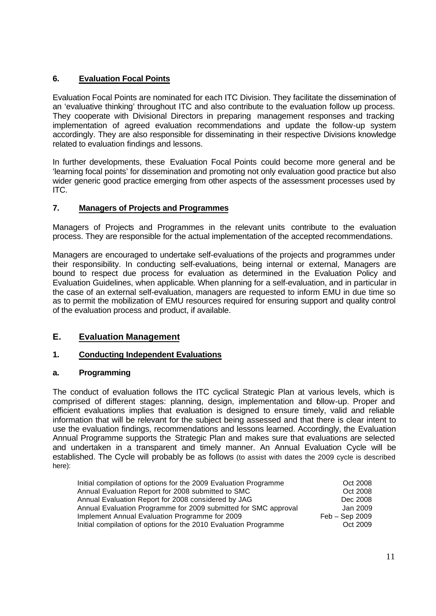# **6. Evaluation Focal Points**

Evaluation Focal Points are nominated for each ITC Division. They facilitate the dissemination of an 'evaluative thinking' throughout ITC and also contribute to the evaluation follow up process. They cooperate with Divisional Directors in preparing management responses and tracking implementation of agreed evaluation recommendations and update the follow-up system accordingly. They are also responsible for disseminating in their respective Divisions knowledge related to evaluation findings and lessons.

In further developments, these Evaluation Focal Points could become more general and be 'learning focal points' for dissemination and promoting not only evaluation good practice but also wider generic good practice emerging from other aspects of the assessment processes used by ITC.

# **7. Managers of Projects and Programmes**

Managers of Projects and Programmes in the relevant units contribute to the evaluation process. They are responsible for the actual implementation of the accepted recommendations.

Managers are encouraged to undertake self-evaluations of the projects and programmes under their responsibility. In conducting self-evaluations, being internal or external, Managers are bound to respect due process for evaluation as determined in the Evaluation Policy and Evaluation Guidelines, when applicable. When planning for a self-evaluation, and in particular in the case of an external self-evaluation, managers are requested to inform EMU in due time so as to permit the mobilization of EMU resources required for ensuring support and quality control of the evaluation process and product, if available.

# **E. Evaluation Management**

# **1. Conducting Independent Evaluations**

# **a. Programming**

The conduct of evaluation follows the ITC cyclical Strategic Plan at various levels, which is comprised of different stages: planning, design, implementation and follow-up. Proper and efficient evaluations implies that evaluation is designed to ensure timely, valid and reliable information that will be relevant for the subject being assessed and that there is clear intent to use the evaluation findings, recommendations and lessons learned. Accordingly, the Evaluation Annual Programme supports the Strategic Plan and makes sure that evaluations are selected and undertaken in a transparent and timely manner. An Annual Evaluation Cycle will be established. The Cycle will probably be as follows (to assist with dates the 2009 cycle is described here):

| Initial compilation of options for the 2009 Evaluation Programme | Oct 2008         |
|------------------------------------------------------------------|------------------|
| Annual Evaluation Report for 2008 submitted to SMC               | Oct 2008         |
| Annual Evaluation Report for 2008 considered by JAG              | Dec 2008         |
| Annual Evaluation Programme for 2009 submitted for SMC approval  | Jan 2009         |
| Implement Annual Evaluation Programme for 2009                   | $Feb - Sep 2009$ |
| Initial compilation of options for the 2010 Evaluation Programme | Oct 2009         |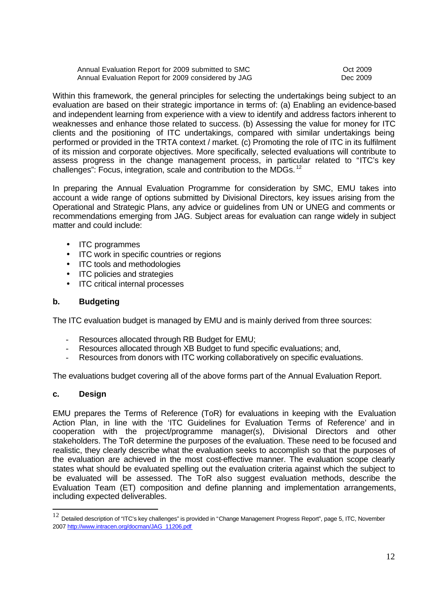Annual Evaluation Report for 2009 submitted to SMC COME COME COME Oct 2009 Annual Evaluation Report for 2009 considered by JAG Decree 2009

Within this framework, the general principles for selecting the undertakings being subject to an evaluation are based on their strategic importance in terms of: (a) Enabling an evidence-based and independent learning from experience with a view to identify and address factors inherent to weaknesses and enhance those related to success. (b) Assessing the value for money for ITC clients and the positioning of ITC undertakings, compared with similar undertakings being performed or provided in the TRTA context / market. (c) Promoting the role of ITC in its fulfilment of its mission and corporate objectives. More specifically, selected evaluations will contribute to assess progress in the change management process, in particular related to "ITC's key challenges": Focus, integration, scale and contribution to the MDGs. <sup>12</sup>

In preparing the Annual Evaluation Programme for consideration by SMC, EMU takes into account a wide range of options submitted by Divisional Directors, key issues arising from the Operational and Strategic Plans, any advice or guidelines from UN or UNEG and comments or recommendations emerging from JAG. Subject areas for evaluation can range widely in subject matter and could include:

- ITC programmes
- ITC work in specific countries or regions
- ITC tools and methodologies
- ITC policies and strategies
- ITC critical internal processes

#### **b. Budgeting**

The ITC evaluation budget is managed by EMU and is mainly derived from three sources:

- Resources allocated through RB Budget for EMU;
- Resources allocated through XB Budget to fund specific evaluations; and,
- Resources from donors with ITC working collaboratively on specific evaluations.

The evaluations budget covering all of the above forms part of the Annual Evaluation Report.

#### **c. Design**

l

EMU prepares the Terms of Reference (ToR) for evaluations in keeping with the Evaluation Action Plan, in line with the 'ITC Guidelines for Evaluation Terms of Reference' and in cooperation with the project/programme manager(s), Divisional Directors and other stakeholders. The ToR determine the purposes of the evaluation. These need to be focused and realistic, they clearly describe what the evaluation seeks to accomplish so that the purposes of the evaluation are achieved in the most cost-effective manner. The evaluation scope clearly states what should be evaluated spelling out the evaluation criteria against which the subject to be evaluated will be assessed. The ToR also suggest evaluation methods, describe the Evaluation Team (ET) composition and define planning and implementation arrangements, including expected deliverables.

 $12$  Detailed description of "ITC's key challenges" is provided in "Change Management Progress Report", page 5, ITC, November 2007 http://www.intracen.org/docman/JAG\_11206.pdf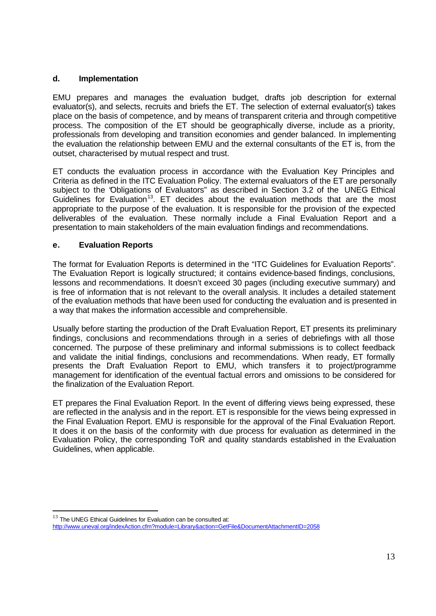## **d. Implementation**

EMU prepares and manages the evaluation budget, drafts job description for external evaluator(s), and selects, recruits and briefs the ET. The selection of external evaluator(s) takes place on the basis of competence, and by means of transparent criteria and through competitive process. The composition of the ET should be geographically diverse, include as a priority, professionals from developing and transition economies and gender balanced. In implementing the evaluation the relationship between EMU and the external consultants of the ET is, from the outset, characterised by mutual respect and trust.

ET conducts the evaluation process in accordance with the Evaluation Key Principles and Criteria as defined in the ITC Evaluation Policy. The external evaluators of the ET are personally subject to the "Obligations of Evaluators" as described in Section 3.2 of the UNEG Ethical Guidelines for Evaluation<sup>13</sup>. ET decides about the evaluation methods that are the most appropriate to the purpose of the evaluation. It is responsible for the provision of the expected deliverables of the evaluation. These normally include a Final Evaluation Report and a presentation to main stakeholders of the main evaluation findings and recommendations.

#### **e. Evaluation Reports**

The format for Evaluation Reports is determined in the "ITC Guidelines for Evaluation Reports". The Evaluation Report is logically structured; it contains evidence-based findings, conclusions, lessons and recommendations. It doesn't exceed 30 pages (including executive summary) and is free of information that is not relevant to the overall analysis. It includes a detailed statement of the evaluation methods that have been used for conducting the evaluation and is presented in a way that makes the information accessible and comprehensible.

Usually before starting the production of the Draft Evaluation Report, ET presents its preliminary findings, conclusions and recommendations through in a series of debriefings with all those concerned. The purpose of these preliminary and informal submissions is to collect feedback and validate the initial findings, conclusions and recommendations. When ready, ET formally presents the Draft Evaluation Report to EMU, which transfers it to project/programme management for identification of the eventual factual errors and omissions to be considered for the finalization of the Evaluation Report.

ET prepares the Final Evaluation Report. In the event of differing views being expressed, these are reflected in the analysis and in the report. ET is responsible for the views being expressed in the Final Evaluation Report. EMU is responsible for the approval of the Final Evaluation Report. It does it on the basis of the conformity with due process for evaluation as determined in the Evaluation Policy, the corresponding ToR and quality standards established in the Evaluation Guidelines, when applicable.

l  $13$  The UNEG Ethical Guidelines for Evaluation can be consulted at: http://www.uneval.org/indexAction.cfm?module=Library&action=GetFile&DocumentAttachmentID=2058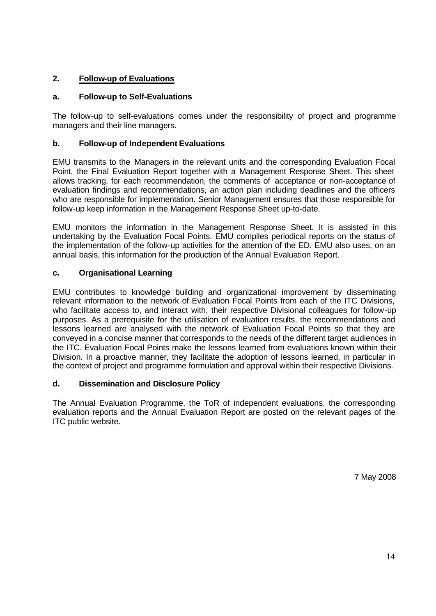# **2. Follow-up of Evaluations**

# **a. Follow-up to Self-Evaluations**

The follow-up to self-evaluations comes under the responsibility of project and programme managers and their line managers.

# **b. Follow-up of Independent Evaluations**

EMU transmits to the Managers in the relevant units and the corresponding Evaluation Focal Point, the Final Evaluation Report together with a Management Response Sheet. This sheet allows tracking, for each recommendation, the comments of acceptance or non-acceptance of evaluation findings and recommendations, an action plan including deadlines and the officers who are responsible for implementation. Senior Management ensures that those responsible for follow-up keep information in the Management Response Sheet up-to-date.

EMU monitors the information in the Management Response Sheet. It is assisted in this undertaking by the Evaluation Focal Points. EMU compiles periodical reports on the status of the implementation of the follow-up activities for the attention of the ED. EMU also uses, on an annual basis, this information for the production of the Annual Evaluation Report.

#### **c. Organisational Learning**

EMU contributes to knowledge building and organizational improvement by disseminating relevant information to the network of Evaluation Focal Points from each of the ITC Divisions, who facilitate access to, and interact with, their respective Divisional colleagues for follow-up purposes. As a prerequisite for the utilisation of evaluation results, the recommendations and lessons learned are analysed with the network of Evaluation Focal Points so that they are conveyed in a concise manner that corresponds to the needs of the different target audiences in the ITC. Evaluation Focal Points make the lessons learned from evaluations known within their Division. In a proactive manner, they facilitate the adoption of lessons learned, in particular in the context of project and programme formulation and approval within their respective Divisions.

#### **d. Dissemination and Disclosure Policy**

The Annual Evaluation Programme, the ToR of independent evaluations, the corresponding evaluation reports and the Annual Evaluation Report are posted on the relevant pages of the ITC public website.

7 May 2008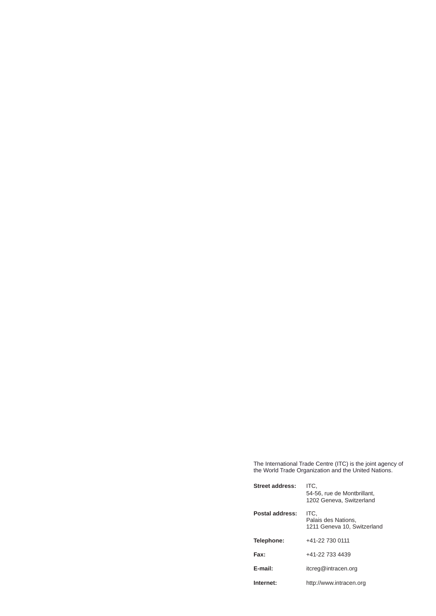The International Trade Centre (ITC) is the joint agency of the World Trade Organization and the United Nations.

| Street address: | ITC.<br>54-56, rue de Montbrillant.<br>1202 Geneva, Switzerland |
|-----------------|-----------------------------------------------------------------|
| Postal address: | ITC.<br>Palais des Nations.<br>1211 Geneva 10, Switzerland      |
| Telephone:      | +41-22 730 0111                                                 |
| Fax:            | +41-22 733 4439                                                 |
| E-mail:         | itcreg@intracen.org                                             |
| Internet:       | http://www.intracen.org                                         |